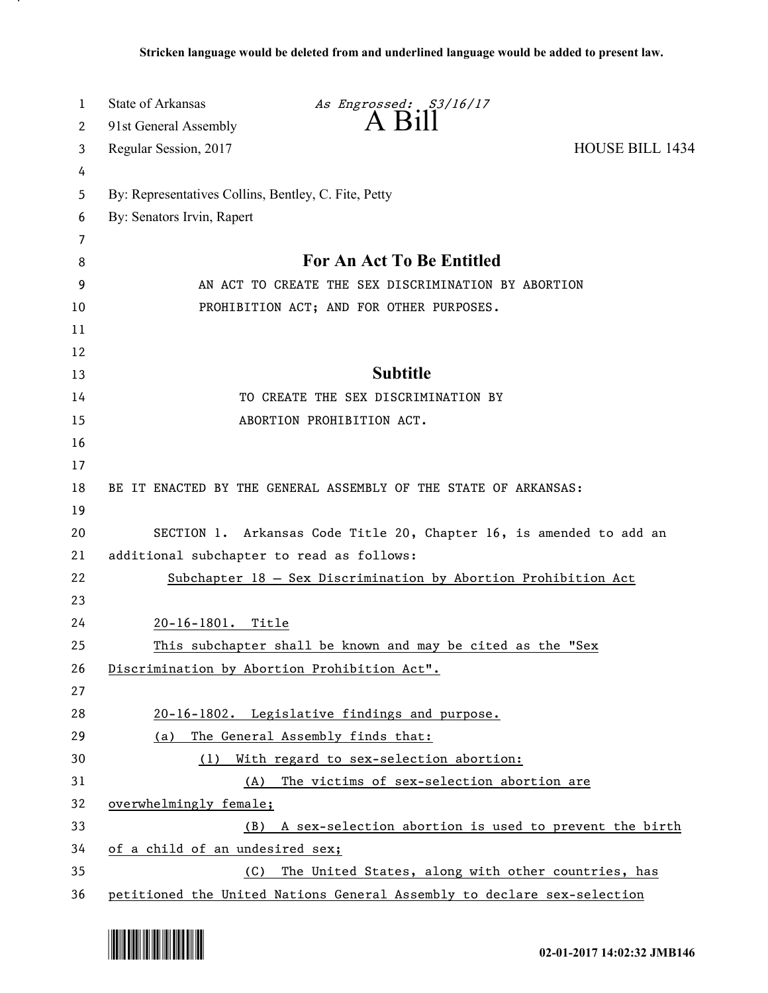| 1  | State of Arkansas<br>As Engrossed: S3/16/17                             |  |
|----|-------------------------------------------------------------------------|--|
| 2  | $A$ Bill<br>91st General Assembly                                       |  |
| 3  | <b>HOUSE BILL 1434</b><br>Regular Session, 2017                         |  |
| 4  |                                                                         |  |
| 5  | By: Representatives Collins, Bentley, C. Fite, Petty                    |  |
| 6  | By: Senators Irvin, Rapert                                              |  |
| 7  |                                                                         |  |
| 8  | For An Act To Be Entitled                                               |  |
| 9  | AN ACT TO CREATE THE SEX DISCRIMINATION BY ABORTION                     |  |
| 10 | PROHIBITION ACT; AND FOR OTHER PURPOSES.                                |  |
| 11 |                                                                         |  |
| 12 |                                                                         |  |
| 13 | <b>Subtitle</b>                                                         |  |
| 14 | TO CREATE THE SEX DISCRIMINATION BY                                     |  |
| 15 | ABORTION PROHIBITION ACT.                                               |  |
| 16 |                                                                         |  |
| 17 |                                                                         |  |
| 18 | BE IT ENACTED BY THE GENERAL ASSEMBLY OF THE STATE OF ARKANSAS:         |  |
| 19 |                                                                         |  |
| 20 | SECTION 1. Arkansas Code Title 20, Chapter 16, is amended to add an     |  |
| 21 | additional subchapter to read as follows:                               |  |
| 22 | Subchapter 18 - Sex Discrimination by Abortion Prohibition Act          |  |
| 23 |                                                                         |  |
| 24 | 20-16-1801. Title                                                       |  |
| 25 | This subchapter shall be known and may be cited as the "Sex             |  |
| 26 | Discrimination by Abortion Prohibition Act".                            |  |
| 27 |                                                                         |  |
| 28 | 20-16-1802. Legislative findings and purpose.                           |  |
| 29 | The General Assembly finds that:<br>(a)                                 |  |
| 30 | (1) With regard to sex-selection abortion:                              |  |
| 31 | (A) The victims of sex-selection abortion are                           |  |
| 32 | overwhelmingly female;                                                  |  |
| 33 | (B) A sex-selection abortion is used to prevent the birth               |  |
| 34 | of a child of an undesired sex;                                         |  |
| 35 | (C) The United States, along with other countries, has                  |  |
| 36 | petitioned the United Nations General Assembly to declare sex-selection |  |



.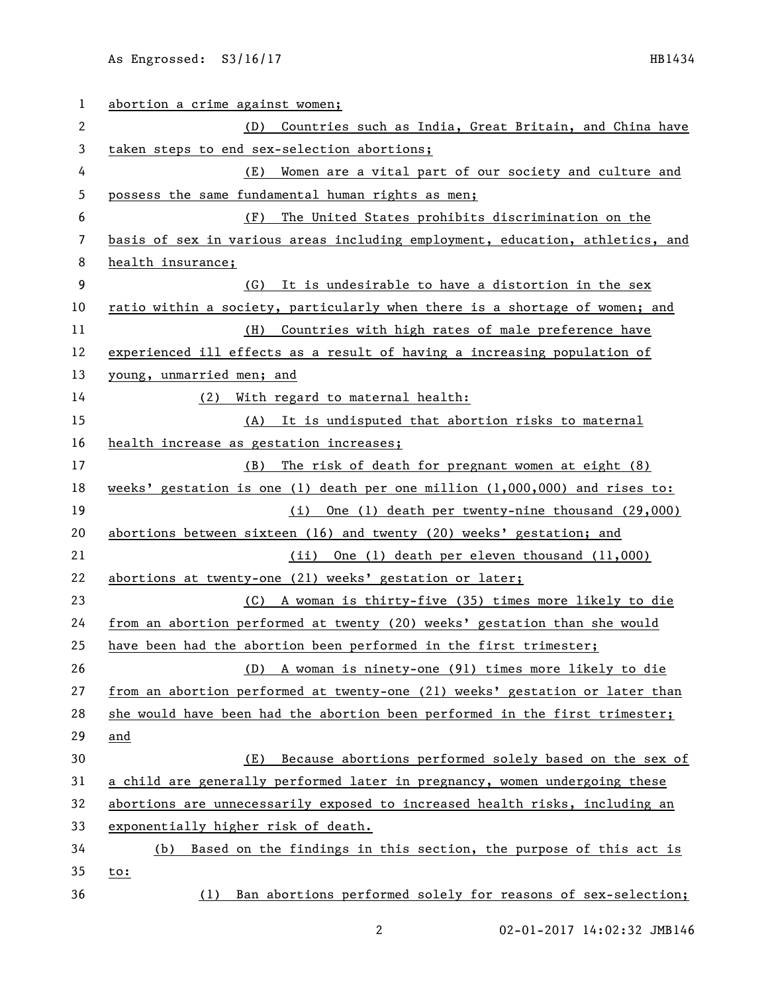| 1  | abortion a crime against women;                                               |
|----|-------------------------------------------------------------------------------|
| 2  | Countries such as India, Great Britain, and China have<br>(D)                 |
| 3  | taken steps to end sex-selection abortions;                                   |
| 4  | Women are a vital part of our society and culture and<br>(E)                  |
| 5  | possess the same fundamental human rights as men;                             |
| 6  | (F)<br>The United States prohibits discrimination on the                      |
| 7  | basis of sex in various areas including employment, education, athletics, and |
| 8  | health insurance;                                                             |
| 9  | (G) It is undesirable to have a distortion in the sex                         |
| 10 | ratio within a society, particularly when there is a shortage of women; and   |
| 11 | (H) Countries with high rates of male preference have                         |
| 12 | experienced ill effects as a result of having a increasing population of      |
| 13 | young, unmarried men; and                                                     |
| 14 | (2) With regard to maternal health:                                           |
| 15 | (A) It is undisputed that abortion risks to maternal                          |
| 16 | health increase as gestation increases;                                       |
| 17 | (B) The risk of death for pregnant women at eight (8)                         |
| 18 | weeks' gestation is one (1) death per one million $(1,000,000)$ and rises to: |
| 19 | (i) One (1) death per twenty-nine thousand (29,000)                           |
| 20 | abortions between sixteen (16) and twenty (20) weeks' gestation; and          |
| 21 | (ii) One (1) death per eleven thousand (11,000)                               |
| 22 | abortions at twenty-one (21) weeks' gestation or later;                       |
| 23 | (C) A woman is thirty-five (35) times more likely to die                      |
| 24 | from an abortion performed at twenty (20) weeks' gestation than she would     |
| 25 | have been had the abortion been performed in the first trimester;             |
| 26 | A woman is ninety-one (91) times more likely to die<br>(D)                    |
| 27 | from an abortion performed at twenty-one (21) weeks' gestation or later than  |
| 28 | she would have been had the abortion been performed in the first trimester;   |
| 29 | and                                                                           |
| 30 | Because abortions performed solely based on the sex of<br>(E)                 |
| 31 | a child are generally performed later in pregnancy, women undergoing these    |
| 32 | abortions are unnecessarily exposed to increased health risks, including an   |
| 33 | exponentially higher risk of death.                                           |
| 34 | (b) Based on the findings in this section, the purpose of this act is         |
| 35 | to:                                                                           |
| 36 | (1) Ban abortions performed solely for reasons of sex-selection;              |

02-01-2017 14:02:32 JMB146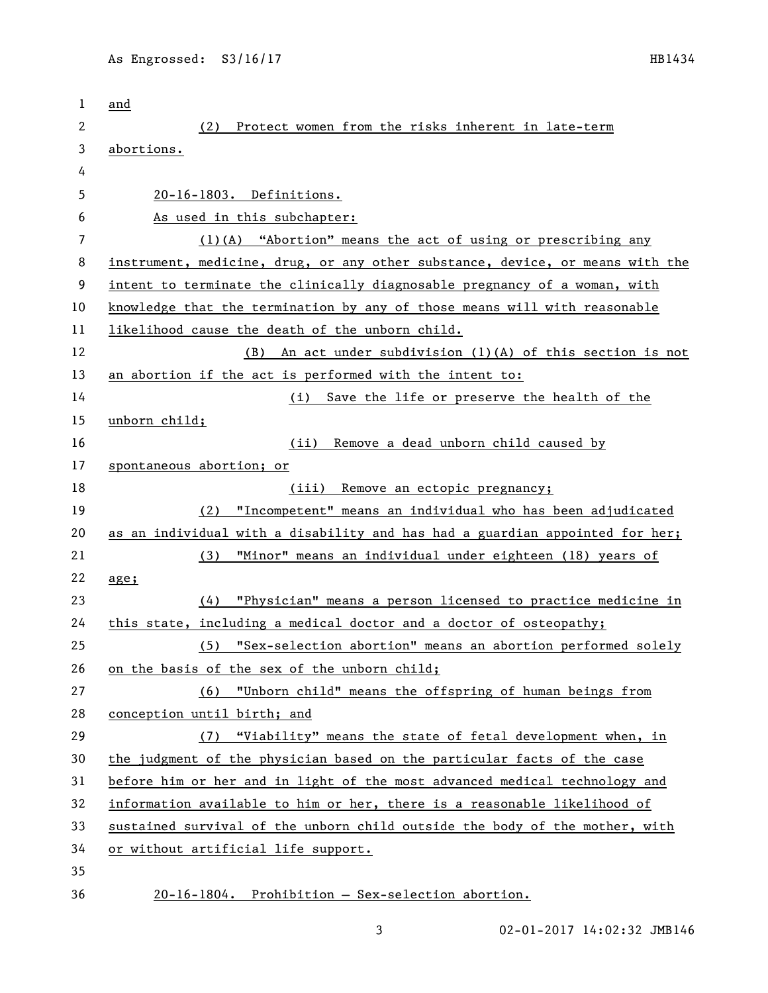| 1      | and                                                                           |
|--------|-------------------------------------------------------------------------------|
| 2      | Protect women from the risks inherent in late-term<br>(2)                     |
| 3      | abortions.                                                                    |
| 4      |                                                                               |
| 5      | 20-16-1803. Definitions.                                                      |
| 6      | As used in this subchapter:                                                   |
| 7      | $(1)(A)$ "Abortion" means the act of using or prescribing any                 |
| 8      | instrument, medicine, drug, or any other substance, device, or means with the |
| 9      | intent to terminate the clinically diagnosable pregnancy of a woman, with     |
| 10     | knowledge that the termination by any of those means will with reasonable     |
| 11     | likelihood cause the death of the unborn child.                               |
| 12     | (B) An act under subdivision (1)(A) of this section is not                    |
| 13     | an abortion if the act is performed with the intent to:                       |
| 14     | (i) Save the life or preserve the health of the                               |
| 15     | unborn child;                                                                 |
| 16     | Remove a dead unborn child caused by<br>(ii)                                  |
| 17     | spontaneous abortion; or                                                      |
| 18     | (iii) Remove an ectopic pregnancy;                                            |
| 19     | "Incompetent" means an individual who has been adjudicated<br>(2)             |
| 20     | as an individual with a disability and has had a guardian appointed for her;  |
| 21     | "Minor" means an individual under eighteen (18) years of<br>(3)               |
| 22     | age;                                                                          |
| 23     | "Physician" means a person licensed to practice medicine in<br>(4)            |
| 24     | this state, including a medical doctor and a doctor of osteopathy;            |
| 25     | (5) "Sex-selection abortion" means an abortion performed solely               |
| 26     | on the basis of the sex of the unborn child;                                  |
| 27     | (6) "Unborn child" means the offspring of human beings from                   |
| 28     | conception until birth; and                                                   |
| 29     | (7) "Viability" means the state of fetal development when, in                 |
| 30     | the judgment of the physician based on the particular facts of the case       |
| 31     | before him or her and in light of the most advanced medical technology and    |
| 32     | information available to him or her, there is a reasonable likelihood of      |
| 33     | sustained survival of the unborn child outside the body of the mother, with   |
| 34     | or without artificial life support.                                           |
| 35     |                                                                               |
| $\sim$ |                                                                               |

- 36 20-16-1804. Prohibition Sex-selection abortion.
	-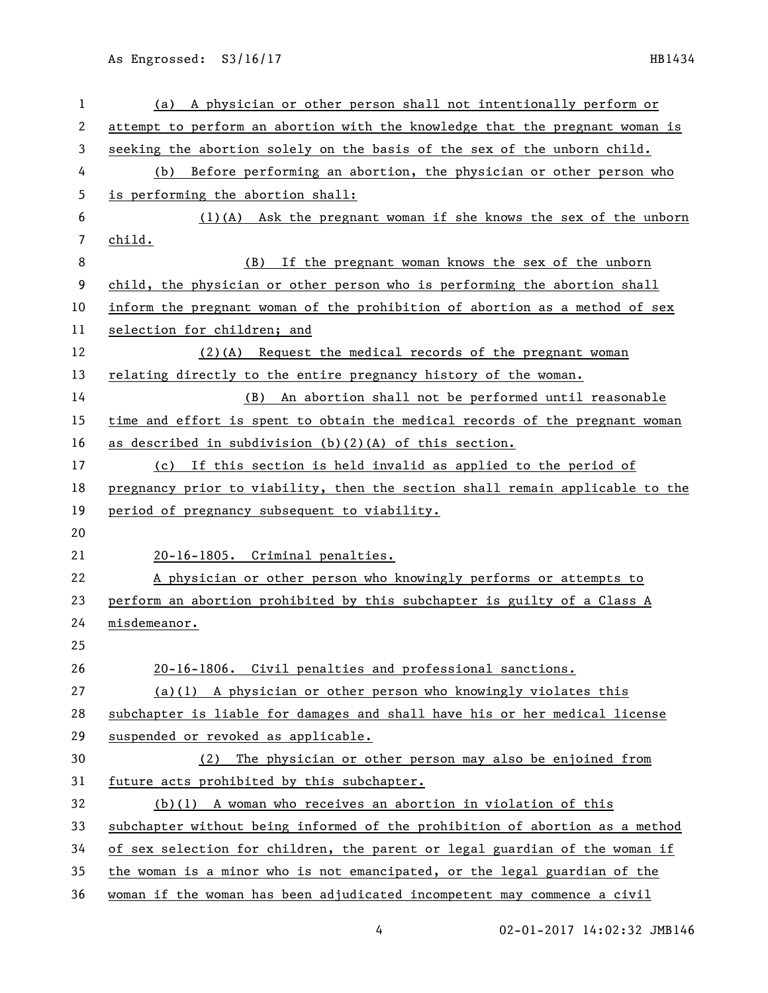As Engrossed: S3/16/17 HB1434

| 1  | (a) A physician or other person shall not intentionally perform or            |
|----|-------------------------------------------------------------------------------|
| 2  | attempt to perform an abortion with the knowledge that the pregnant woman is  |
| 3  | seeking the abortion solely on the basis of the sex of the unborn child.      |
| 4  | Before performing an abortion, the physician or other person who<br>(b)       |
| 5  | is performing the abortion shall:                                             |
| 6  | (1)(A) Ask the pregnant woman if she knows the sex of the unborn              |
| 7  | child.                                                                        |
| 8  | (B) If the pregnant woman knows the sex of the unborn                         |
| 9  | child, the physician or other person who is performing the abortion shall     |
| 10 | inform the pregnant woman of the prohibition of abortion as a method of sex   |
| 11 | selection for children; and                                                   |
| 12 | $(2)(A)$ Request the medical records of the pregnant woman                    |
| 13 | relating directly to the entire pregnancy history of the woman.               |
| 14 | (B) An abortion shall not be performed until reasonable                       |
| 15 | time and effort is spent to obtain the medical records of the pregnant woman  |
| 16 | as described in subdivision (b)(2)(A) of this section.                        |
| 17 | (c) If this section is held invalid as applied to the period of               |
| 18 | pregnancy prior to viability, then the section shall remain applicable to the |
| 19 | period of pregnancy subsequent to viability.                                  |
| 20 |                                                                               |
| 21 | 20-16-1805. Criminal penalties.                                               |
| 22 | A physician or other person who knowingly performs or attempts to             |
| 23 | perform an abortion prohibited by this subchapter is guilty of a Class A      |
| 24 | misdemeanor.                                                                  |
| 25 |                                                                               |
| 26 | 20-16-1806. Civil penalties and professional sanctions.                       |
| 27 | $(a)(1)$ A physician or other person who knowingly violates this              |
| 28 | subchapter is liable for damages and shall have his or her medical license    |
| 29 | suspended or revoked as applicable.                                           |
| 30 | The physician or other person may also be enjoined from<br>(2)                |
| 31 | future acts prohibited by this subchapter.                                    |
| 32 | $(b)(1)$ A woman who receives an abortion in violation of this                |
| 33 | subchapter without being informed of the prohibition of abortion as a method  |
| 34 | of sex selection for children, the parent or legal guardian of the woman if   |
| 35 | the woman is a minor who is not emancipated, or the legal guardian of the     |
| 36 | woman if the woman has been adjudicated incompetent may commence a civil      |

4 02-01-2017 14:02:32 JMB146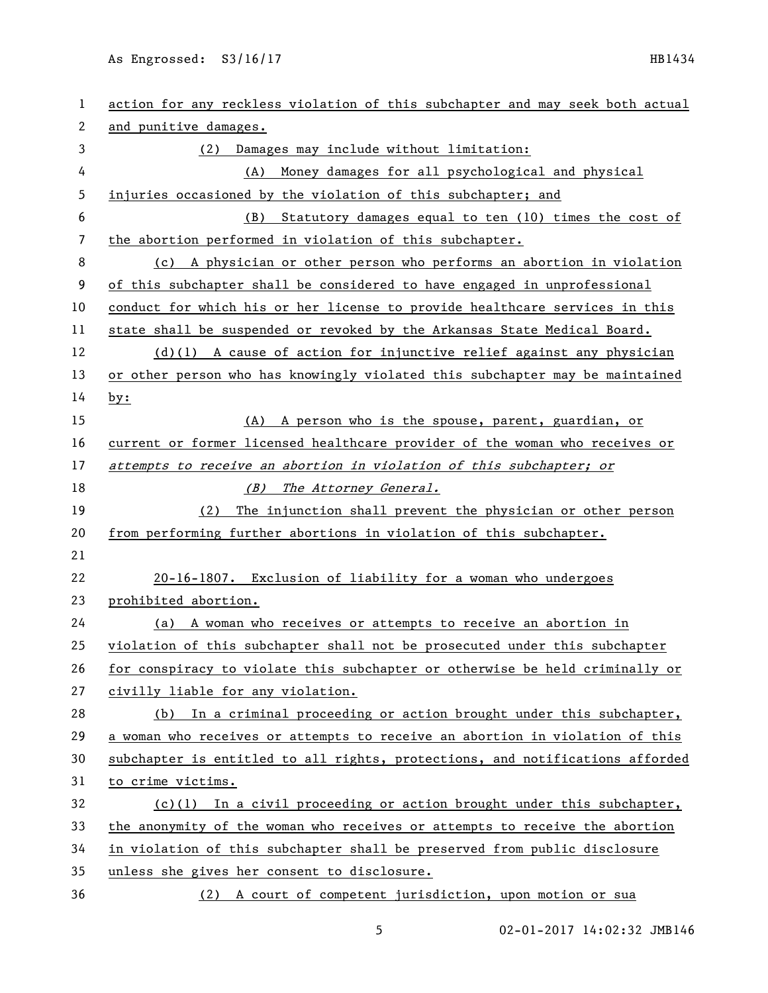As Engrossed: S3/16/17 HB1434

| 1  | action for any reckless violation of this subchapter and may seek both actual |
|----|-------------------------------------------------------------------------------|
| 2  | and punitive damages.                                                         |
| 3  | Damages may include without limitation:<br>(2)                                |
| 4  | Money damages for all psychological and physical<br>(A)                       |
| 5  | injuries occasioned by the violation of this subchapter; and                  |
| 6  | Statutory damages equal to ten (10) times the cost of<br>(B)                  |
| 7  | the abortion performed in violation of this subchapter.                       |
| 8  | (c) A physician or other person who performs an abortion in violation         |
| 9  | of this subchapter shall be considered to have engaged in unprofessional      |
| 10 | conduct for which his or her license to provide healthcare services in this   |
| 11 | state shall be suspended or revoked by the Arkansas State Medical Board.      |
| 12 | $(d)(1)$ A cause of action for injunctive relief against any physician        |
| 13 | or other person who has knowingly violated this subchapter may be maintained  |
| 14 | by:                                                                           |
| 15 | A person who is the spouse, parent, guardian, or<br>(A)                       |
| 16 | current or former licensed healthcare provider of the woman who receives or   |
| 17 | attempts to receive an abortion in violation of this subchapter; or           |
| 18 | The Attorney General.<br>(B)                                                  |
| 19 | The injunction shall prevent the physician or other person<br>(2)             |
| 20 | from performing further abortions in violation of this subchapter.            |
| 21 |                                                                               |
| 22 | 20-16-1807. Exclusion of liability for a woman who undergoes                  |
| 23 | prohibited abortion.                                                          |
| 24 | (a) A woman who receives or attempts to receive an abortion in                |
| 25 | violation of this subchapter shall not be prosecuted under this subchapter    |
| 26 | for conspiracy to violate this subchapter or otherwise be held criminally or  |
| 27 | civilly liable for any violation.                                             |
| 28 | In a criminal proceeding or action brought under this subchapter,<br>(b)      |
| 29 | a woman who receives or attempts to receive an abortion in violation of this  |
| 30 | subchapter is entitled to all rights, protections, and notifications afforded |
| 31 | to crime victims.                                                             |
| 32 | $(c)(1)$ In a civil proceeding or action brought under this subchapter,       |
| 33 | the anonymity of the woman who receives or attempts to receive the abortion   |
| 34 | in violation of this subchapter shall be preserved from public disclosure     |
| 35 | unless she gives her consent to disclosure.                                   |
| 36 | (2) A court of competent jurisdiction, upon motion or sua                     |

5 02-01-2017 14:02:32 JMB146